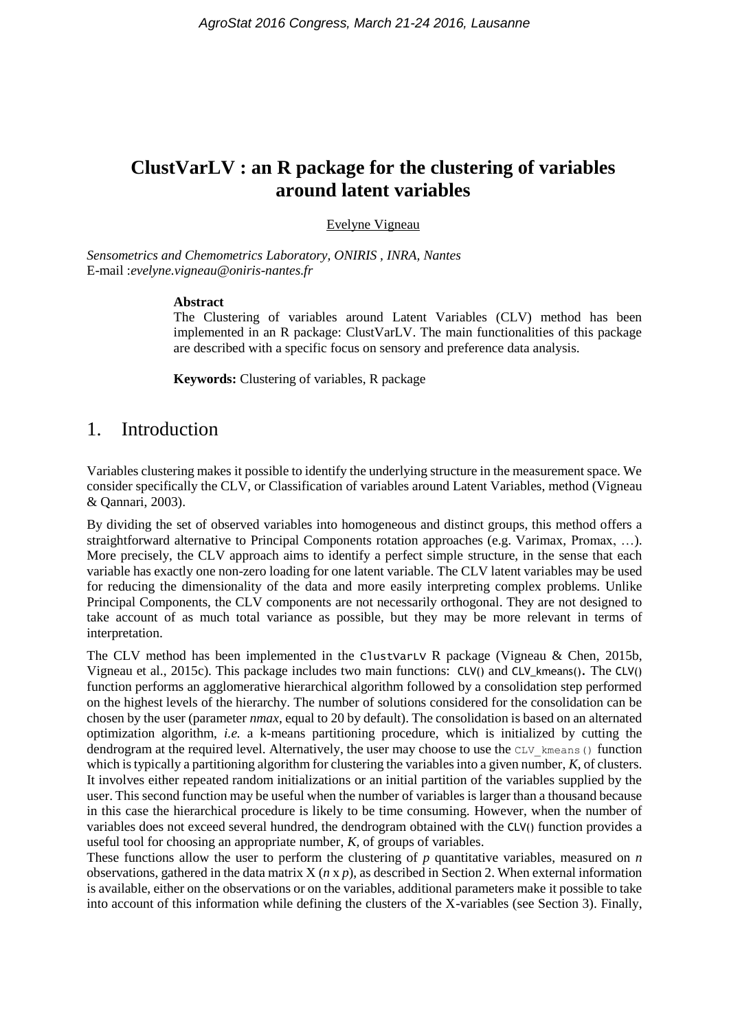# **ClustVarLV : an R package for the clustering of variables around latent variables**

#### Evelyne Vigneau

*Sensometrics and Chemometrics Laboratory, ONIRIS , INRA, Nantes* E-mail :*evelyne.vigneau@oniris-nantes.fr*

#### **Abstract**

The Clustering of variables around Latent Variables (CLV) method has been implemented in an R package: ClustVarLV. The main functionalities of this package are described with a specific focus on sensory and preference data analysis.

**Keywords:** Clustering of variables, R package

### 1. Introduction

Variables clustering makes it possible to identify the underlying structure in the measurement space. We consider specifically the CLV, or Classification of variables around Latent Variables, method (Vigneau & Qannari, 2003).

By dividing the set of observed variables into homogeneous and distinct groups, this method offers a straightforward alternative to Principal Components rotation approaches (e.g. Varimax, Promax, ...). More precisely, the CLV approach aims to identify a perfect simple structure, in the sense that each variable has exactly one non-zero loading for one latent variable. The CLV latent variables may be used for reducing the dimensionality of the data and more easily interpreting complex problems. Unlike Principal Components, the CLV components are not necessarily orthogonal. They are not designed to take account of as much total variance as possible, but they may be more relevant in terms of interpretation.

The CLV method has been implemented in the ClustVarLV R package (Vigneau & Chen, 2015b, Vigneau et al., 2015c). This package includes two main functions: CLV() and CLV\_kmeans(). The CLV() function performs an agglomerative hierarchical algorithm followed by a consolidation step performed on the highest levels of the hierarchy. The number of solutions considered for the consolidation can be chosen by the user (parameter *nmax*, equal to 20 by default). The consolidation is based on an alternated optimization algorithm, *i.e.* a k-means partitioning procedure, which is initialized by cutting the dendrogram at the required level. Alternatively, the user may choose to use the CLV kmeans () function which is typically a partitioning algorithm for clustering the variables into a given number, *K*, of clusters. It involves either repeated random initializations or an initial partition of the variables supplied by the user. This second function may be useful when the number of variables is larger than a thousand because in this case the hierarchical procedure is likely to be time consuming. However, when the number of variables does not exceed several hundred, the dendrogram obtained with the CLV() function provides a useful tool for choosing an appropriate number, *K,* of groups of variables.

These functions allow the user to perform the clustering of *p* quantitative variables, measured on *n* observations, gathered in the data matrix X (*n* x *p*), as described in Section 2. When external information is available, either on the observations or on the variables, additional parameters make it possible to take into account of this information while defining the clusters of the X-variables (see Section 3). Finally,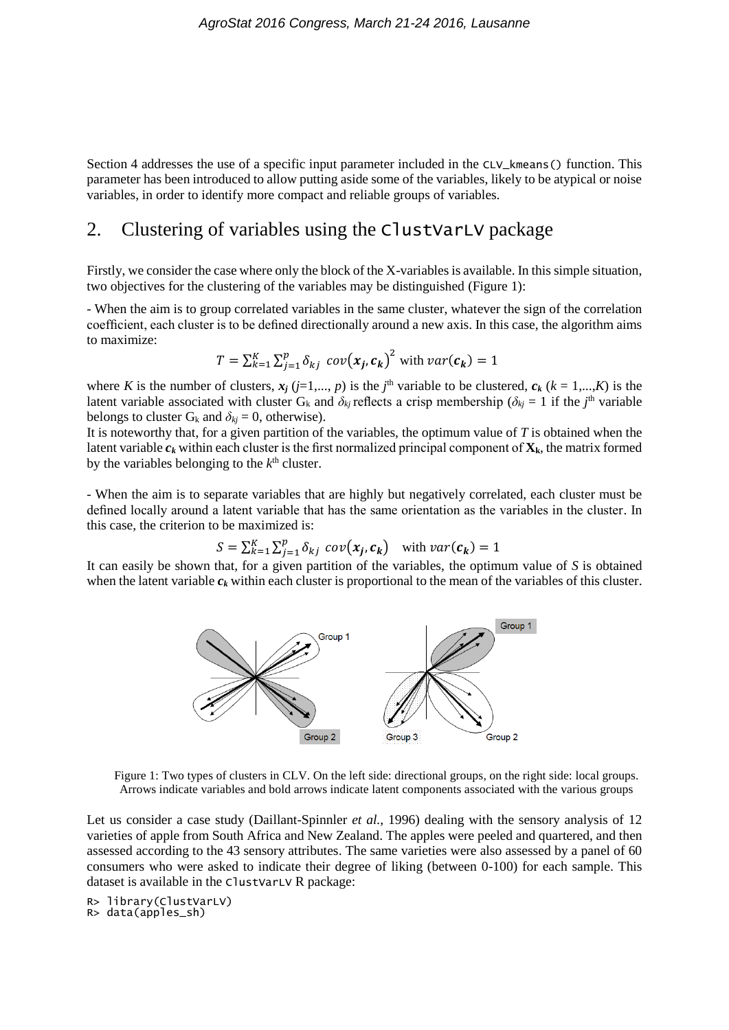Section 4 addresses the use of a specific input parameter included in the CLV\_kmeans() function. This parameter has been introduced to allow putting aside some of the variables, likely to be atypical or noise variables, in order to identify more compact and reliable groups of variables.

## 2. Clustering of variables using the ClustVarLV package

Firstly, we consider the case where only the block of the X-variables is available. In this simple situation, two objectives for the clustering of the variables may be distinguished (Figure 1):

- When the aim is to group correlated variables in the same cluster, whatever the sign of the correlation coefficient, each cluster is to be defined directionally around a new axis. In this case, the algorithm aims to maximize:

$$
T = \sum_{k=1}^{K} \sum_{j=1}^{p} \delta_{kj} cov(x_j, c_k)^2
$$
 with  $var(c_k) = 1$ 

where *K* is the number of clusters,  $x_j$  ( $j=1,..., p$ ) is the  $j^{\text{th}}$  variable to be clustered,  $c_k$  ( $k = 1,..., K$ ) is the latent variable associated with cluster  $G_k$  and  $\delta_{kj}$  reflects a crisp membership ( $\delta_{kj} = 1$  if the *j*<sup>th</sup> variable belongs to cluster  $G_k$  and  $\delta_{kj} = 0$ , otherwise).

It is noteworthy that, for a given partition of the variables, the optimum value of *T* is obtained when the latent variable  $c_k$  within each cluster is the first normalized principal component of  $\mathbf{X}_k$ , the matrix formed by the variables belonging to the  $k<sup>th</sup>$  cluster.

- When the aim is to separate variables that are highly but negatively correlated, each cluster must be defined locally around a latent variable that has the same orientation as the variables in the cluster. In this case, the criterion to be maximized is:

$$
S = \sum_{k=1}^{K} \sum_{j=1}^{p} \delta_{kj} cov(x_j, c_k) \quad \text{with } var(c_k) = 1
$$

It can easily be shown that, for a given partition of the variables, the optimum value of *S* is obtained when the latent variable  $c_k$  within each cluster is proportional to the mean of the variables of this cluster.



Figure 1: Two types of clusters in CLV. On the left side: directional groups, on the right side: local groups. Arrows indicate variables and bold arrows indicate latent components associated with the various groups

Let us consider a case study (Daillant-Spinnler *et al.*, 1996) dealing with the sensory analysis of 12 varieties of apple from South Africa and New Zealand. The apples were peeled and quartered, and then assessed according to the 43 sensory attributes. The same varieties were also assessed by a panel of 60 consumers who were asked to indicate their degree of liking (between 0-100) for each sample. This dataset is available in the ClustVarLV R package:

R> library(ClustVarLV) R> data(apples\_sh)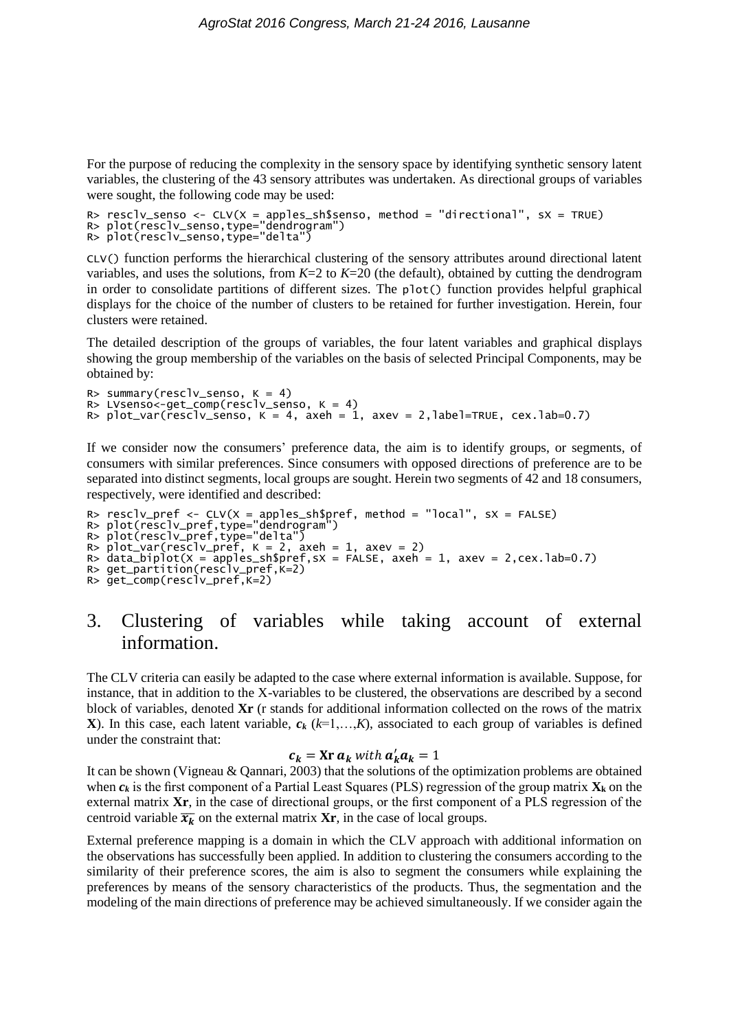For the purpose of reducing the complexity in the sensory space by identifying synthetic sensory latent variables, the clustering of the 43 sensory attributes was undertaken. As directional groups of variables were sought, the following code may be used:

```
R> resclv_senso <- CLV(X = apples_sh$senso, method = "directional", sX = TRUE)
R> plot(resclv_senso,type="dendrogram")
R> plot(resclv_senso,type="delta")
```
CLV() function performs the hierarchical clustering of the sensory attributes around directional latent variables, and uses the solutions, from  $K=2$  to  $K=20$  (the default), obtained by cutting the dendrogram in order to consolidate partitions of different sizes. The plot() function provides helpful graphical displays for the choice of the number of clusters to be retained for further investigation. Herein, four clusters were retained.

The detailed description of the groups of variables, the four latent variables and graphical displays showing the group membership of the variables on the basis of selected Principal Components, may be obtained by:

```
R> summary(resclv_senso, K = 4)
R> LVsenso<-get_comp(resclv_senso, K = 4)
R> plot_var(resclv_senso, K = 4, axeh = 1, axev = 2, label=TRUE, cex.lab=0.7)
```
If we consider now the consumers' preference data, the aim is to identify groups, or segments, of consumers with similar preferences. Since consumers with opposed directions of preference are to be separated into distinct segments, local groups are sought. Herein two segments of 42 and 18 consumers, respectively, were identified and described:

```
R> resclv_pref <- CLV(X = apples_sh$pref, method = "local", sX = FALSE)
R> plot(resclv_pref,type="dendrogram")
R> plot(resclv_pref,type="delta")
R> plot_var(resclv_pref, K = 2, axeh = 1, axev = 2)
R> data_biplot(X = apples_sh$pref,sX = FALSE, axeh = 1, axev = 2,cex.lab=0.7)
R > get\_partition(resc'iv\_pref,k=2)R > get_{conv}(resc) \vee pref, k=2)
```
## 3. Clustering of variables while taking account of external information.

The CLV criteria can easily be adapted to the case where external information is available. Suppose, for instance, that in addition to the X-variables to be clustered, the observations are described by a second block of variables, denoted **Xr** (r stands for additional information collected on the rows of the matrix **X**). In this case, each latent variable,  $c_k$  ( $k=1,\ldots,K$ ), associated to each group of variables is defined under the constraint that:

#### $c_k =$  Xr  $a_k$  with  $a'_k a_k = 1$

It can be shown (Vigneau & Qannari, 2003) that the solutions of the optimization problems are obtained when  $c_k$  is the first component of a Partial Least Squares (PLS) regression of the group matrix  $\mathbf{X}_k$  on the external matrix **Xr**, in the case of directional groups, or the first component of a PLS regression of the centroid variable  $\overline{x_k}$  on the external matrix **Xr**, in the case of local groups.

External preference mapping is a domain in which the CLV approach with additional information on the observations has successfully been applied. In addition to clustering the consumers according to the similarity of their preference scores, the aim is also to segment the consumers while explaining the preferences by means of the sensory characteristics of the products. Thus, the segmentation and the modeling of the main directions of preference may be achieved simultaneously. If we consider again the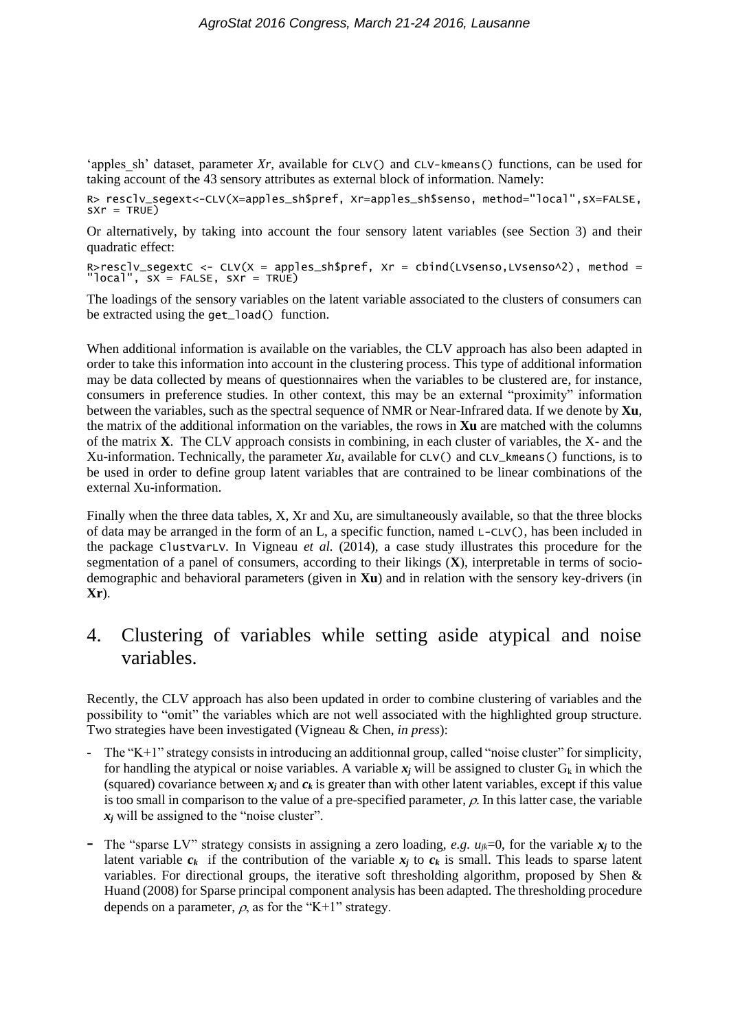'apples sh' dataset, parameter  $Xr$ , available for CLV() and CLV-kmeans() functions, can be used for taking account of the 43 sensory attributes as external block of information. Namely:

R> rescly segext<-CLV(X=apples sh\$pref, Xr=apples sh\$senso, method="local",sX=FALSE,  $sXr = TRUE$ 

Or alternatively, by taking into account the four sensory latent variables (see Section 3) and their quadratic effect:

R>resclv\_segextC <- CLV(X = apples\_sh\$pref, Xr = cbind(LVsenso,LVsenso^2), method = "local", sX = FALSE, sXr = TRUE)

The loadings of the sensory variables on the latent variable associated to the clusters of consumers can be extracted using the get\_load() function.

When additional information is available on the variables, the CLV approach has also been adapted in order to take this information into account in the clustering process. This type of additional information may be data collected by means of questionnaires when the variables to be clustered are, for instance, consumers in preference studies. In other context, this may be an external "proximity" information between the variables, such as the spectral sequence of NMR or Near-Infrared data. If we denote by **Xu**, the matrix of the additional information on the variables, the rows in **Xu** are matched with the columns of the matrix **X**. The CLV approach consists in combining, in each cluster of variables, the X- and the Xu-information. Technically, the parameter *Xu*, available for CLV() and CLV\_kmeans() functions, is to be used in order to define group latent variables that are contrained to be linear combinations of the external Xu-information.

Finally when the three data tables, X, Xr and Xu, are simultaneously available, so that the three blocks of data may be arranged in the form of an L, a specific function, named L-CLV(), has been included in the package ClustVarLV. In Vigneau *et al.* (2014), a case study illustrates this procedure for the segmentation of a panel of consumers, according to their likings (**X**), interpretable in terms of sociodemographic and behavioral parameters (given in **Xu**) and in relation with the sensory key-drivers (in **Xr**).

## 4. Clustering of variables while setting aside atypical and noise variables.

Recently, the CLV approach has also been updated in order to combine clustering of variables and the possibility to "omit" the variables which are not well associated with the highlighted group structure. Two strategies have been investigated (Vigneau & Chen, *in press*):

- The "K+1" strategy consists in introducing an additionnal group, called "noise cluster" for simplicity, for handling the atypical or noise variables. A variable  $x_i$  will be assigned to cluster  $G_k$  in which the (squared) covariance between  $x_i$  and  $c_k$  is greater than with other latent variables, except if this value is too small in comparison to the value of a pre-specified parameter,  $\rho$ . In this latter case, the variable  $x_i$  will be assigned to the "noise cluster".
- The "sparse LV" strategy consists in assigning a zero loading, *e.g.*  $u_{ik}=0$ , for the variable  $x_i$  to the latent variable  $c_k$  if the contribution of the variable  $x_i$  to  $c_k$  is small. This leads to sparse latent variables. For directional groups, the iterative soft thresholding algorithm, proposed by Shen & Huand (2008) for Sparse principal component analysis has been adapted. The thresholding procedure depends on a parameter,  $\rho$ , as for the "K+1" strategy.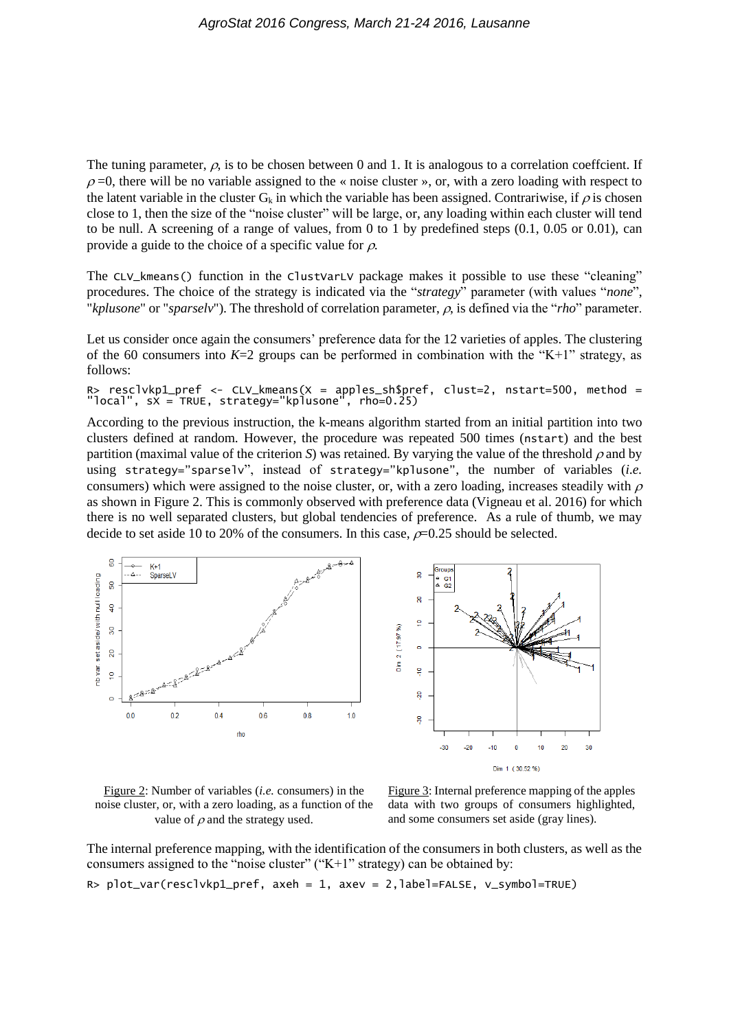The tuning parameter,  $\rho$ , is to be chosen between 0 and 1. It is analogous to a correlation coeffcient. If  $\rho$ =0, there will be no variable assigned to the « noise cluster », or, with a zero loading with respect to the latent variable in the cluster  $G_k$  in which the variable has been assigned. Contrariwise, if  $\rho$  is chosen close to 1, then the size of the "noise cluster" will be large, or, any loading within each cluster will tend to be null. A screening of a range of values, from 0 to 1 by predefined steps  $(0.1, 0.05 \text{ or } 0.01)$ , can provide a guide to the choice of a specific value for  $\rho$ .

The CLV\_kmeans() function in the ClustVarLV package makes it possible to use these "cleaning" procedures. The choice of the strategy is indicated via the "*strategy*" parameter (with values "*none*", "*kplusone*" or "*sparselv*"). The threshold of correlation parameter,  $\rho$ , is defined via the "*rho*" parameter.

Let us consider once again the consumers' preference data for the 12 varieties of apples. The clustering of the 60 consumers into  $K=2$  groups can be performed in combination with the "K+1" strategy, as follows:

R> resclvkp1\_pref <- CLV\_kmeans(X = apples\_sh\$pref, clust=2, nstart=500, method = "local", sX = TRUE, strategy="kplusone", rho=0.25)

According to the previous instruction, the k-means algorithm started from an initial partition into two clusters defined at random. However, the procedure was repeated 500 times (nstart) and the best partition (maximal value of the criterion *S*) was retained. By varying the value of the threshold  $\rho$  and by using strategy="sparselv", instead of strategy="kplusone", the number of variables (*i.e.* consumers) which were assigned to the noise cluster, or, with a zero loading, increases steadily with  $\rho$ as shown in Figure 2. This is commonly observed with preference data (Vigneau et al. 2016) for which there is no well separated clusters, but global tendencies of preference. As a rule of thumb, we may decide to set aside 10 to 20% of the consumers. In this case,  $\rho$ =0.25 should be selected.



Figure 2: Number of variables (*i.e.* consumers) in the noise cluster, or, with a zero loading, as a function of the value of  $\rho$  and the strategy used.

Figure 3: Internal preference mapping of the apples data with two groups of consumers highlighted, and some consumers set aside (gray lines).

The internal preference mapping, with the identification of the consumers in both clusters, as well as the consumers assigned to the "noise cluster" ("K+1" strategy) can be obtained by: R> plot\_var(resclvkp1\_pref, axeh = 1, axev = 2,label=FALSE, v\_symbol=TRUE)